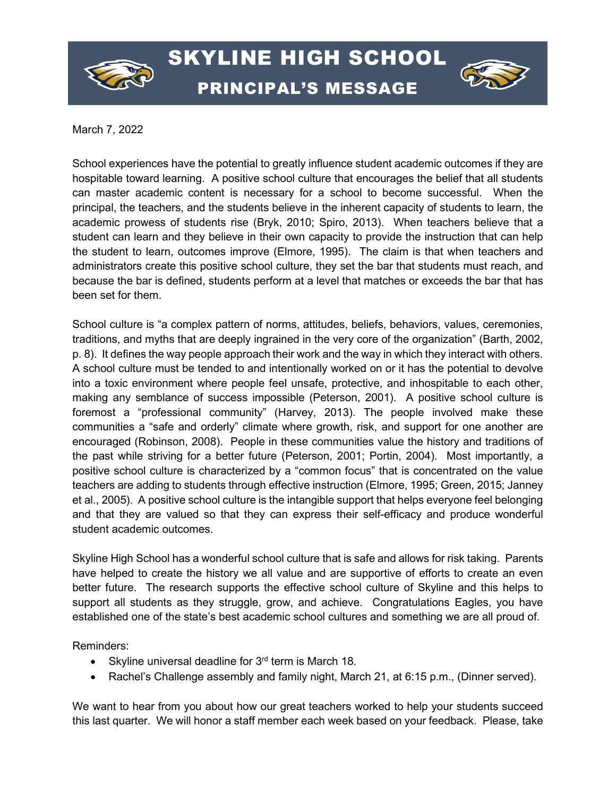

## SKYLINE HIGH SCHOOL PRINCIPAL'S MESSAGE



March 7, 2022

School experiences have the potential to greatly influence student academic outcomes if they are hospitable toward learning. A positive school culture that encourages the belief that all students can master academic content is necessary for a school to become successful. When the principal, the teachers, and the students believe in the inherent capacity of students to learn, the academic prowess of students rise (Bryk, 2010; Spiro, 2013). When teachers believe that a student can learn and they believe in their own capacity to provide the instruction that can help the student to learn, outcomes improve (Elmore, 1995). The claim is that when teachers and administrators create this positive school culture, they set the bar that students must reach, and because the bar is defined, students perform at a level that matches or exceeds the bar that has been set for them.

School culture is "a complex pattern of norms, attitudes, beliefs, behaviors, values, ceremonies, traditions, and myths that are deeply ingrained in the very core of the organization" (Barth, 2002, p. 8). It defines the way people approach their work and the way in which they interact with others. A school culture must be tended to and intentionally worked on or it has the potential to devolve into a toxic environment where people feel unsafe, protective, and inhospitable to each other, making any semblance of success impossible (Peterson, 2001). A positive school culture is foremost a "professional community" (Harvey, 2013). The people involved make these communities a "safe and orderly" climate where growth, risk, and support for one another are encouraged (Robinson, 2008). People in these communities value the history and traditions of the past while striving for a better future (Peterson, 2001; Portin, 2004). Most importantly, a positive school culture is characterized by a "common focus" that is concentrated on the value teachers are adding to students through effective instruction (Elmore, 1995; Green, 2015; Janney et al., 2005). A positive school culture is the intangible support that helps everyone feel belonging and that they are valued so that they can express their self-efficacy and produce wonderful student academic outcomes.

Skyline High School has a wonderful school culture that is safe and allows for risk taking. Parents have helped to create the history we all value and are supportive of efforts to create an even better future. The research supports the effective school culture of Skyline and this helps to support all students as they struggle, grow, and achieve. Congratulations Eagles, you have established one of the state's best academic school cultures and something we are all proud of.

Reminders:

- Skyline universal deadline for  $3<sup>rd</sup>$  term is March 18.
- Rachel's Challenge assembly and family night, March 21, at 6:15 p.m., (Dinner served).

We want to hear from you about how our great teachers worked to help your students succeed this last quarter. We will honor a staff member each week based on your feedback. Please, take